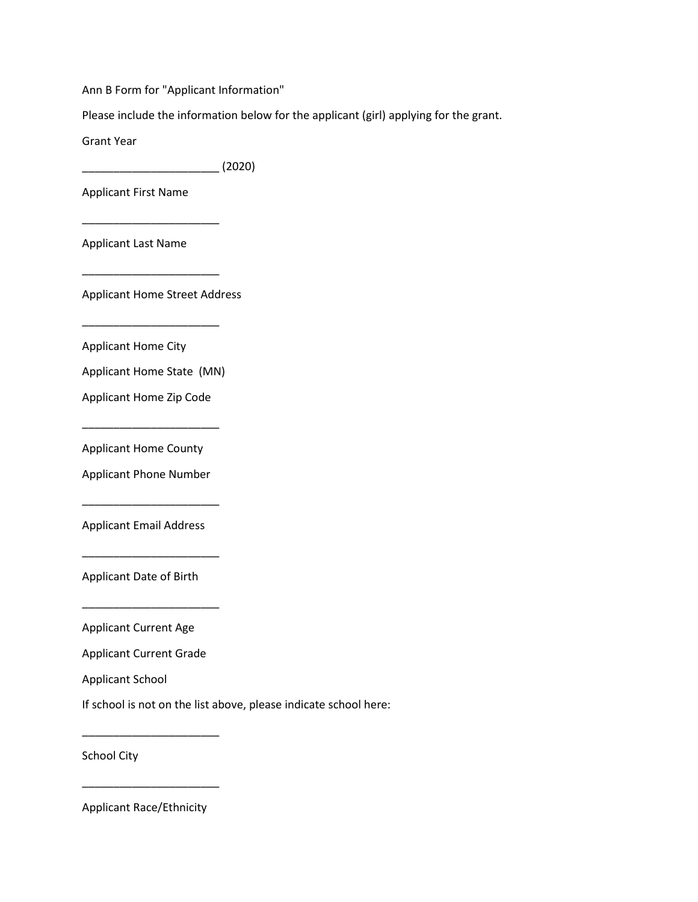Ann B Form for "Applicant Information"

Please include the information below for the applicant (girl) applying for the grant.

Grant Year

\_\_\_\_\_\_\_\_\_\_\_\_\_\_\_\_\_\_\_\_\_\_ (2020)

Applicant First Name

Applicant Last Name

\_\_\_\_\_\_\_\_\_\_\_\_\_\_\_\_\_\_\_\_\_\_

\_\_\_\_\_\_\_\_\_\_\_\_\_\_\_\_\_\_\_\_\_\_

\_\_\_\_\_\_\_\_\_\_\_\_\_\_\_\_\_\_\_\_\_\_

Applicant Home Street Address

Applicant Home City

Applicant Home State (MN)

Applicant Home Zip Code

\_\_\_\_\_\_\_\_\_\_\_\_\_\_\_\_\_\_\_\_\_\_

Applicant Home County

Applicant Phone Number

\_\_\_\_\_\_\_\_\_\_\_\_\_\_\_\_\_\_\_\_\_\_

\_\_\_\_\_\_\_\_\_\_\_\_\_\_\_\_\_\_\_\_\_\_

\_\_\_\_\_\_\_\_\_\_\_\_\_\_\_\_\_\_\_\_\_\_

Applicant Email Address

Applicant Date of Birth

Applicant Current Age

Applicant Current Grade

Applicant School

If school is not on the list above, please indicate school here:

School City

Applicant Race/Ethnicity

\_\_\_\_\_\_\_\_\_\_\_\_\_\_\_\_\_\_\_\_\_\_

\_\_\_\_\_\_\_\_\_\_\_\_\_\_\_\_\_\_\_\_\_\_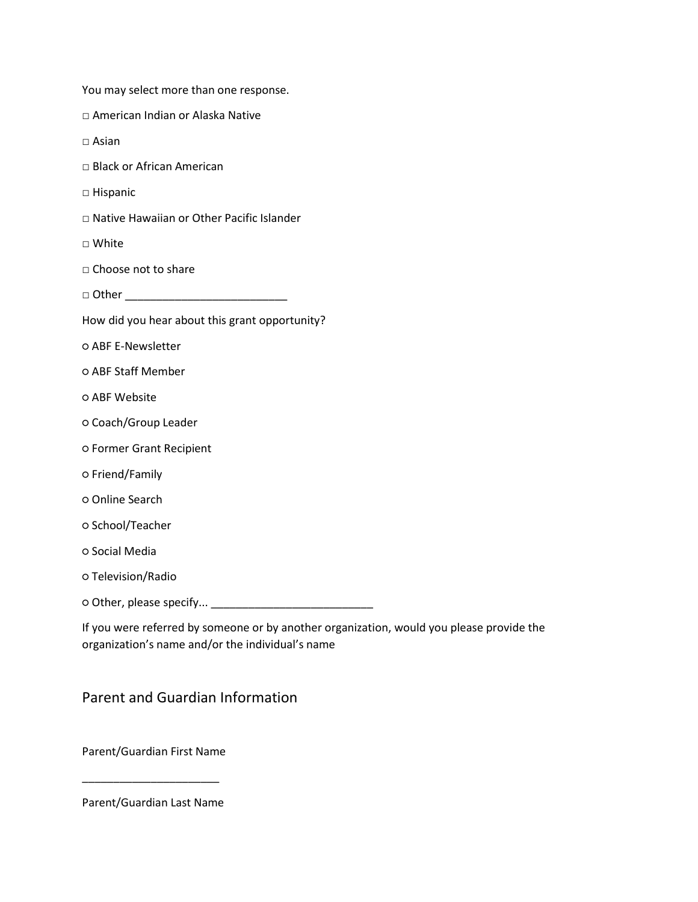| You may select more than one response. |  |
|----------------------------------------|--|
|----------------------------------------|--|

- □ American Indian or Alaska Native
- □ Asian
- □ Black or African American
- □ Hispanic
- □ Native Hawaiian or Other Pacific Islander
- □ White
- □ Choose not to share
- $\Box$  Other  $\Box$
- How did you hear about this grant opportunity?
- ABF E-Newsletter
- ABF Staff Member
- ABF Website
- Coach/Group Leader
- Former Grant Recipient
- Friend/Family
- Online Search
- School/Teacher
- Social Media
- Television/Radio
- Other, please specify... \_\_\_\_\_\_\_\_\_\_\_\_\_\_\_\_\_\_\_\_\_\_\_\_\_\_

If you were referred by someone or by another organization, would you please provide the organization's name and/or the individual's name

# Parent and Guardian Information

Parent/Guardian First Name

Parent/Guardian Last Name

\_\_\_\_\_\_\_\_\_\_\_\_\_\_\_\_\_\_\_\_\_\_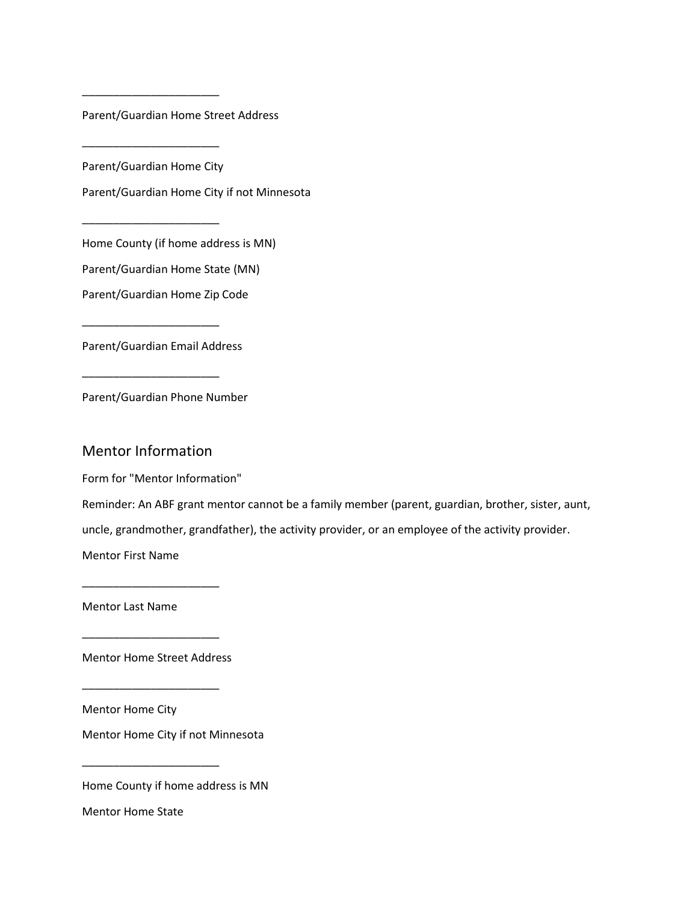Parent/Guardian Home Street Address

Parent/Guardian Home City

\_\_\_\_\_\_\_\_\_\_\_\_\_\_\_\_\_\_\_\_\_\_

\_\_\_\_\_\_\_\_\_\_\_\_\_\_\_\_\_\_\_\_\_\_

\_\_\_\_\_\_\_\_\_\_\_\_\_\_\_\_\_\_\_\_\_\_

Parent/Guardian Home City if not Minnesota

Home County (if home address is MN)

Parent/Guardian Home State (MN)

Parent/Guardian Home Zip Code

Parent/Guardian Email Address

\_\_\_\_\_\_\_\_\_\_\_\_\_\_\_\_\_\_\_\_\_\_

\_\_\_\_\_\_\_\_\_\_\_\_\_\_\_\_\_\_\_\_\_\_

Parent/Guardian Phone Number

#### Mentor Information

Form for "Mentor Information"

Reminder: An ABF grant mentor cannot be a family member (parent, guardian, brother, sister, aunt,

uncle, grandmother, grandfather), the activity provider, or an employee of the activity provider.

Mentor First Name

Mentor Last Name

Mentor Home Street Address

\_\_\_\_\_\_\_\_\_\_\_\_\_\_\_\_\_\_\_\_\_\_

\_\_\_\_\_\_\_\_\_\_\_\_\_\_\_\_\_\_\_\_\_\_

\_\_\_\_\_\_\_\_\_\_\_\_\_\_\_\_\_\_\_\_\_\_

\_\_\_\_\_\_\_\_\_\_\_\_\_\_\_\_\_\_\_\_\_\_

Mentor Home City

Mentor Home City if not Minnesota

Home County if home address is MN

Mentor Home State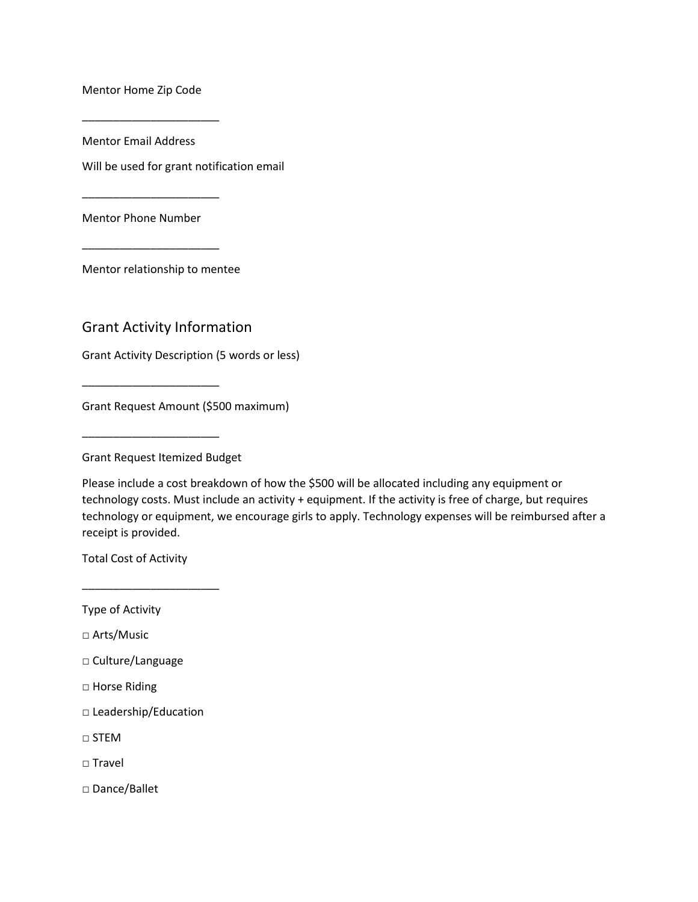Mentor Home Zip Code

\_\_\_\_\_\_\_\_\_\_\_\_\_\_\_\_\_\_\_\_\_\_

Mentor Email Address

Will be used for grant notification email

Mentor Phone Number

\_\_\_\_\_\_\_\_\_\_\_\_\_\_\_\_\_\_\_\_\_\_

\_\_\_\_\_\_\_\_\_\_\_\_\_\_\_\_\_\_\_\_\_\_

Mentor relationship to mentee

## Grant Activity Information

Grant Activity Description (5 words or less)

Grant Request Amount (\$500 maximum)

Grant Request Itemized Budget

\_\_\_\_\_\_\_\_\_\_\_\_\_\_\_\_\_\_\_\_\_\_

\_\_\_\_\_\_\_\_\_\_\_\_\_\_\_\_\_\_\_\_\_\_

Please include a cost breakdown of how the \$500 will be allocated including any equipment or technology costs. Must include an activity + equipment. If the activity is free of charge, but requires technology or equipment, we encourage girls to apply. Technology expenses will be reimbursed after a receipt is provided.

Total Cost of Activity

\_\_\_\_\_\_\_\_\_\_\_\_\_\_\_\_\_\_\_\_\_\_

Type of Activity

□ Arts/Music

□ Culture/Language

□ Horse Riding

□ Leadership/Education

 $\sqcap$  STEM

□ Travel

□ Dance/Ballet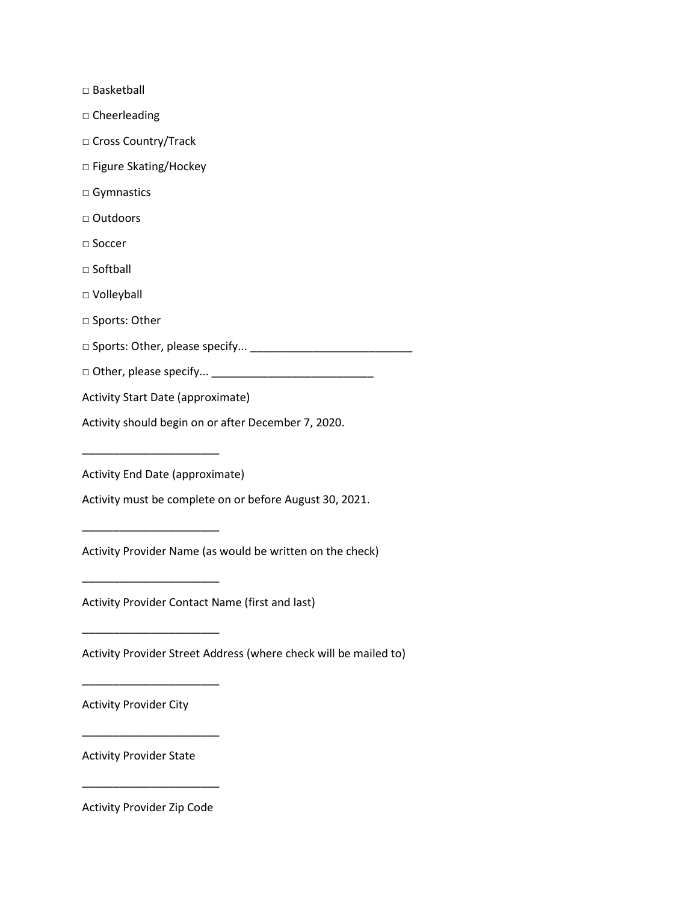□ Basketball

□ Cheerleading

□ Cross Country/Track

□ Figure Skating/Hockey

□ Gymnastics

□ Outdoors

□ Soccer

□ Softball

□ Volleyball

□ Sports: Other

□ Sports: Other, please specify... \_\_\_\_\_\_\_\_\_\_\_\_\_\_\_\_\_\_\_\_\_\_\_\_\_\_

□ Other, please specify... \_\_\_\_\_\_\_\_\_\_\_\_\_\_\_\_\_\_\_\_\_\_\_\_\_\_

Activity Start Date (approximate)

Activity should begin on or after December 7, 2020.

Activity End Date (approximate)

\_\_\_\_\_\_\_\_\_\_\_\_\_\_\_\_\_\_\_\_\_\_

\_\_\_\_\_\_\_\_\_\_\_\_\_\_\_\_\_\_\_\_\_\_

\_\_\_\_\_\_\_\_\_\_\_\_\_\_\_\_\_\_\_\_\_\_

\_\_\_\_\_\_\_\_\_\_\_\_\_\_\_\_\_\_\_\_\_\_

\_\_\_\_\_\_\_\_\_\_\_\_\_\_\_\_\_\_\_\_\_\_

\_\_\_\_\_\_\_\_\_\_\_\_\_\_\_\_\_\_\_\_\_\_

Activity must be complete on or before August 30, 2021.

Activity Provider Name (as would be written on the check)

Activity Provider Contact Name (first and last)

Activity Provider Street Address (where check will be mailed to)

Activity Provider City

Activity Provider State

Activity Provider Zip Code

\_\_\_\_\_\_\_\_\_\_\_\_\_\_\_\_\_\_\_\_\_\_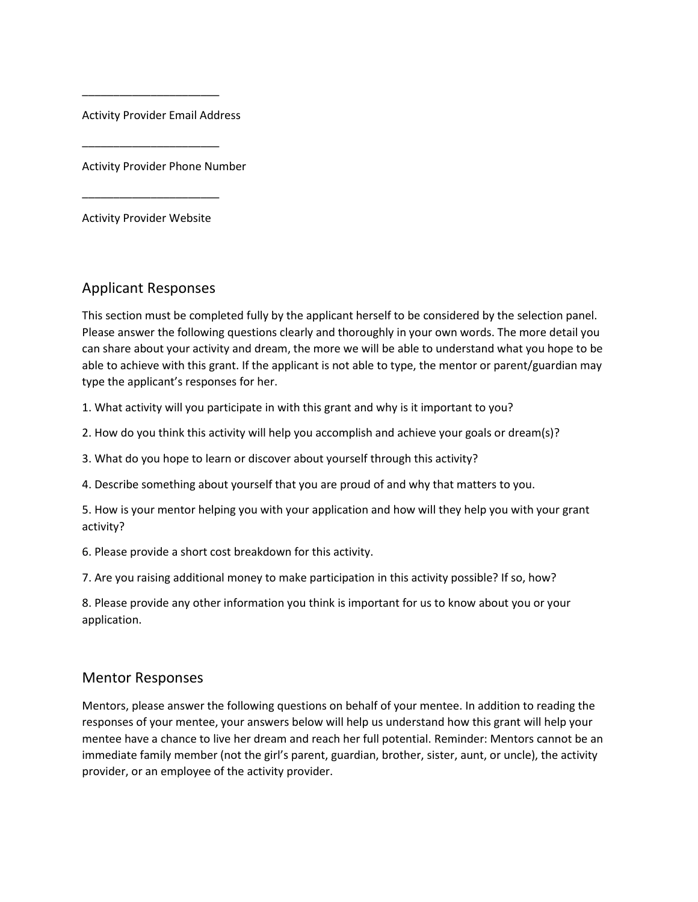Activity Provider Email Address

\_\_\_\_\_\_\_\_\_\_\_\_\_\_\_\_\_\_\_\_\_\_

\_\_\_\_\_\_\_\_\_\_\_\_\_\_\_\_\_\_\_\_\_\_

Activity Provider Phone Number

Activity Provider Website

\_\_\_\_\_\_\_\_\_\_\_\_\_\_\_\_\_\_\_\_\_\_

## Applicant Responses

This section must be completed fully by the applicant herself to be considered by the selection panel. Please answer the following questions clearly and thoroughly in your own words. The more detail you can share about your activity and dream, the more we will be able to understand what you hope to be able to achieve with this grant. If the applicant is not able to type, the mentor or parent/guardian may type the applicant's responses for her.

1. What activity will you participate in with this grant and why is it important to you?

2. How do you think this activity will help you accomplish and achieve your goals or dream(s)?

3. What do you hope to learn or discover about yourself through this activity?

4. Describe something about yourself that you are proud of and why that matters to you.

5. How is your mentor helping you with your application and how will they help you with your grant activity?

6. Please provide a short cost breakdown for this activity.

7. Are you raising additional money to make participation in this activity possible? If so, how?

8. Please provide any other information you think is important for us to know about you or your application.

#### Mentor Responses

Mentors, please answer the following questions on behalf of your mentee. In addition to reading the responses of your mentee, your answers below will help us understand how this grant will help your mentee have a chance to live her dream and reach her full potential. Reminder: Mentors cannot be an immediate family member (not the girl's parent, guardian, brother, sister, aunt, or uncle), the activity provider, or an employee of the activity provider.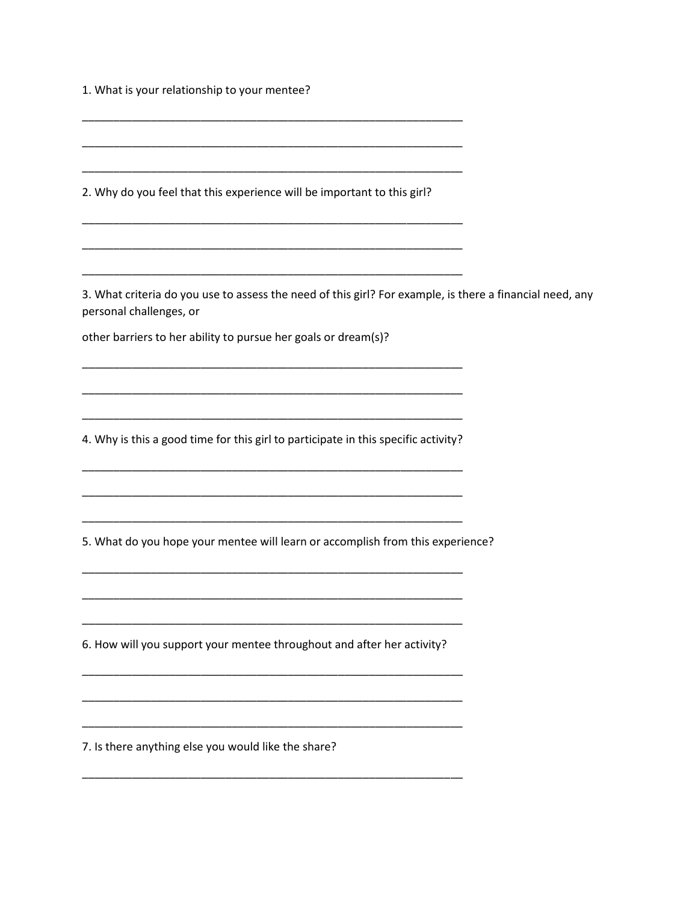1. What is your relationship to your mentee?

2. Why do you feel that this experience will be important to this girl?

3. What criteria do you use to assess the need of this girl? For example, is there a financial need, any personal challenges, or

other barriers to her ability to pursue her goals or dream(s)?

4. Why is this a good time for this girl to participate in this specific activity?

5. What do you hope your mentee will learn or accomplish from this experience?

6. How will you support your mentee throughout and after her activity?

7. Is there anything else you would like the share?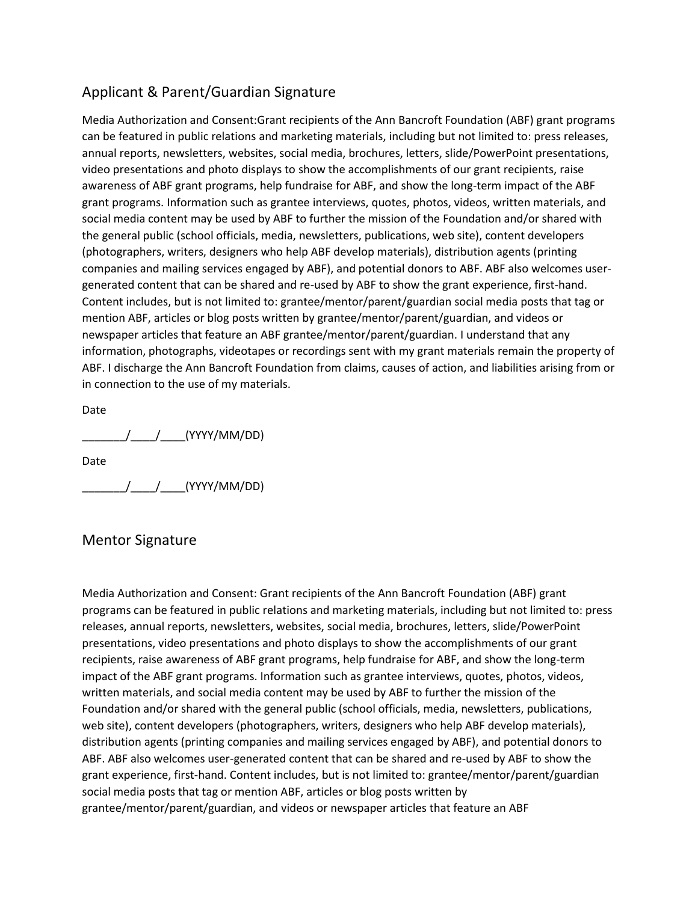# Applicant & Parent/Guardian Signature

Media Authorization and Consent:Grant recipients of the Ann Bancroft Foundation (ABF) grant programs can be featured in public relations and marketing materials, including but not limited to: press releases, annual reports, newsletters, websites, social media, brochures, letters, slide/PowerPoint presentations, video presentations and photo displays to show the accomplishments of our grant recipients, raise awareness of ABF grant programs, help fundraise for ABF, and show the long-term impact of the ABF grant programs. Information such as grantee interviews, quotes, photos, videos, written materials, and social media content may be used by ABF to further the mission of the Foundation and/or shared with the general public (school officials, media, newsletters, publications, web site), content developers (photographers, writers, designers who help ABF develop materials), distribution agents (printing companies and mailing services engaged by ABF), and potential donors to ABF. ABF also welcomes usergenerated content that can be shared and re-used by ABF to show the grant experience, first-hand. Content includes, but is not limited to: grantee/mentor/parent/guardian social media posts that tag or mention ABF, articles or blog posts written by grantee/mentor/parent/guardian, and videos or newspaper articles that feature an ABF grantee/mentor/parent/guardian. I understand that any information, photographs, videotapes or recordings sent with my grant materials remain the property of ABF. I discharge the Ann Bancroft Foundation from claims, causes of action, and liabilities arising from or in connection to the use of my materials.

Date

 $\frac{1}{2}$  (YYYY/MM/DD)

Date

 $\frac{1}{\sqrt{1-\frac{1}{\sqrt{1-\frac{1}{\sqrt{1-\frac{1}{\sqrt{1-\frac{1}{\sqrt{1-\frac{1}{\sqrt{1-\frac{1}{\sqrt{1-\frac{1}{\sqrt{1-\frac{1}{\sqrt{1-\frac{1}{\sqrt{1-\frac{1}{\sqrt{1-\frac{1}{\sqrt{1-\frac{1}{\sqrt{1-\frac{1}{\sqrt{1-\frac{1}{\sqrt{1-\frac{1}{\sqrt{1-\frac{1}{\sqrt{1-\frac{1}{\sqrt{1-\frac{1}{\sqrt{1-\frac{1}{\sqrt{1-\frac{1}{\sqrt{1-\frac{1}{\sqrt{1-\frac{1}{\sqrt{1-\frac{1}{\sqrt{1-\frac{1$ 

## Mentor Signature

Media Authorization and Consent: Grant recipients of the Ann Bancroft Foundation (ABF) grant programs can be featured in public relations and marketing materials, including but not limited to: press releases, annual reports, newsletters, websites, social media, brochures, letters, slide/PowerPoint presentations, video presentations and photo displays to show the accomplishments of our grant recipients, raise awareness of ABF grant programs, help fundraise for ABF, and show the long-term impact of the ABF grant programs. Information such as grantee interviews, quotes, photos, videos, written materials, and social media content may be used by ABF to further the mission of the Foundation and/or shared with the general public (school officials, media, newsletters, publications, web site), content developers (photographers, writers, designers who help ABF develop materials), distribution agents (printing companies and mailing services engaged by ABF), and potential donors to ABF. ABF also welcomes user-generated content that can be shared and re-used by ABF to show the grant experience, first-hand. Content includes, but is not limited to: grantee/mentor/parent/guardian social media posts that tag or mention ABF, articles or blog posts written by grantee/mentor/parent/guardian, and videos or newspaper articles that feature an ABF